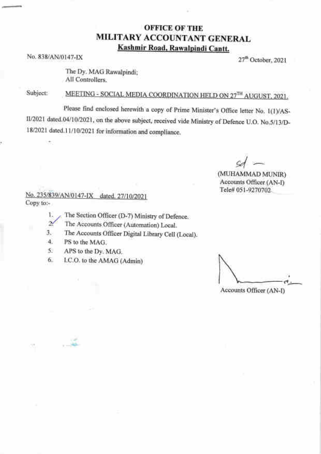## OFFICE OF THE MILITARY ACCOUNTANT GENERAL Kashmir Road. Rawalpindi Cantt.

No. 838/AN/0147-IX 27<sup>th</sup> October, 2021

The Dy. MAG Rawalpindi; All Controllers.

Subject

MEETING - SOCIAL MEDIA COORDINATION HELD ON 27TH AUGUST, 2021.

Please find enclosed herewith a copy of Prime Minister's Office letter No. 1(1yAS-1I/2021 dated.04/10/2021, on the above subject, received vide Ministry of Defence U.O. No.5/13/D-18/2021 dated.11/10/2021 for information and compliance.

I

(MUHAMMAD MUNIR) Accounts Officer (AN-I) Tele# 051-9270702

Copy to:- No. 235/839/AN/0147-IX dated, 27/10/2021

- 1. ) The Section Officer (D-7) Ministry of Defence.
- $\sim$ The Accounts Officer (Automation) Local.
- The Accounts Officer Digital Library Cell (Local). J.
- PS to the MAG. 4.

.  $\ddotsc$ 

X.

- APS to the Dy. MAG. 5.
- I.C.O. to the AMAG (Admin) 6.

r't . Accounts Officer (AN-I)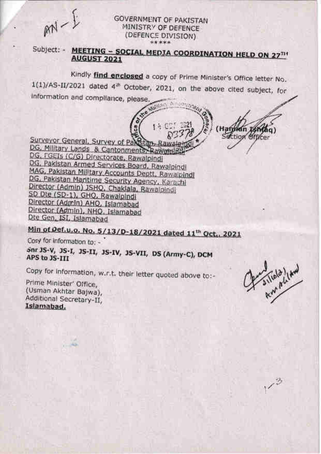$MN - E$ 

## **GOVERNMENT OF PAKISTAN** MINISTRY OF DEFENCE (DEFENCE DIVISION) \*\*\*\*\*

Subject: - MEETING - SOCIAL MEDIA COORDINATION HELD ON 27714 **AUGUST 2021** 

Kindly find enclosed a copy of Prime Minister's Office letter No. 1(1)/AS-II/2021 dated 4<sup>th</sup> October, 2021, on the above cited subject, for Information and compliance, please. WEST A STORAGE

14 001 2021

(Hafw

landen Ishtac<br>Section officer

ใต้ต)

Surveyor General, Survey of PakStan, Rawalein DG, Military Lands & Cantonments, Rawansial DG, FGEIs (C/G) Directorate, Rawalpindi DG, Pakistan Armed Services Board, Rawalpindi MAG, Pakistan Military Accounts Deptt, Rawaipindi DG, Pakistan Maritime Security Agency, Karachi Director (Admin) JSHQ, Chaklala, Rawalpindi SD Dte (SD-1), GHQ, Rawalpindi Director (Admin) AHO, Islamabad Director (Admin), NHQ, Islamabad Dte Gen, ISI, Islamabad

Min of Def.u.o. No. 5/13/D-18/2021 dated 11<sup>th</sup> Oct., 2021

Cory for information to: -

Snr 3S-V, 3S-I, 3S-II, 3S-IV, 3S-VII, DS (Army-C), DCM APS to JS-III

Copy for Information, w.r.t. their letter quoted above to:-

Prime Minister' Office, (Usman Akhtar Bajwa), Additional Secretary-II, Islamabad.

A siliala letter

 $1/3$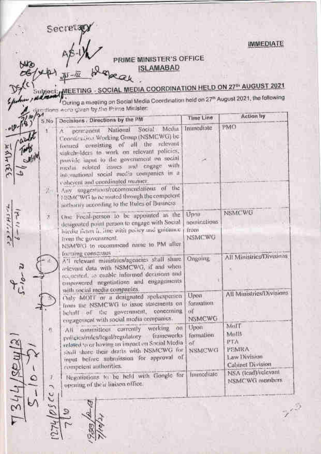**IMMEDIATE** 

Secretap

 $1 - 5 + 7$ 

PRIME MINISTER'S OFFICE **ISLAMABAD** 

- SOCIAL MEDIA COORDINATION HELD ON 27th AUGUST 2021 During a maeting on Social Media Coordination held on 27<sup>th</sup> August 2021, the following flore word given by the Prime Minister Action by Time Line Decisions / Directions by the PM  $5$ No **PMO** Immediate A pericanent National Media Social Coordination Working Group (NSMCWG) be formed consisting of all the relevant stakeholders to work on relevant policies, provide input to the government on social mettal related issues and engage with international social media companies in a coherent and coordinated manuer. Any suggestions/recommendations of the 装置: HEMCWG to be routed through the competent jaitbority according to the Rules of Business NSMCWG One Found-person to be appointed as the Upon À nominations designated point person to engage with Social biedia ridan à, line with policy and guidance. from **NSMCWG** from the government. NSMWCI to recommend name to PM after forming consenses All Ministrics/Divisions A'l relevant ministries/agencies shall share **Ongoing** orlevant data with NSMCWG, if and when requested, as emple informed decisions and empowered negotiations and engagements with nocial media companies. All Ministries/Divisions Only MOIT or a designated spokespecson Upon from the NSMCWG to issue statements on formation behalf of the government, concerning oť engagement with social media companies. **NSMCWG** Mull All committeen currently working on Upon  $\mathcal{R}$ Mulli formation patteres/rules/legal/regulatory frameworks related to or having on impact on Social Media **PTA**  $\alpha$ f shall thate their drafts with NSMCWG for PEMIKA **NSMCWG** input before submission for approval of Law Division  $344/304$ **Cabinet Division** competent authorities. NSA (lead)/relevant Negetiptions to be held with Gongle for Immediato NSMCWG members opening of their liniten office.